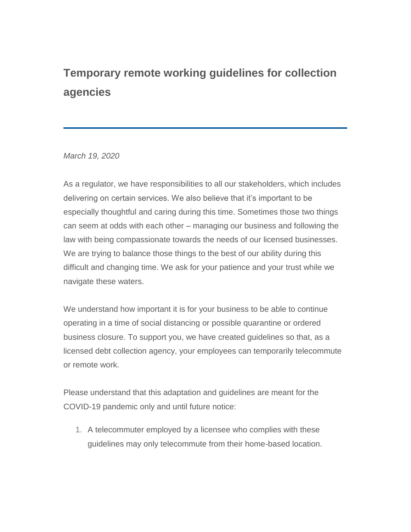## **Temporary remote working guidelines for collection agencies**

*March 19, 2020*

As a regulator, we have responsibilities to all our stakeholders, which includes delivering on certain services. We also believe that it's important to be especially thoughtful and caring during this time. Sometimes those two things can seem at odds with each other – managing our business and following the law with being compassionate towards the needs of our licensed businesses. We are trying to balance those things to the best of our ability during this difficult and changing time. We ask for your patience and your trust while we navigate these waters.

We understand how important it is for your business to be able to continue operating in a time of social distancing or possible quarantine or ordered business closure. To support you, we have created guidelines so that, as a licensed debt collection agency, your employees can temporarily telecommute or remote work.

Please understand that this adaptation and guidelines are meant for the COVID-19 pandemic only and until future notice:

1. A telecommuter employed by a licensee who complies with these guidelines may only telecommute from their home-based location.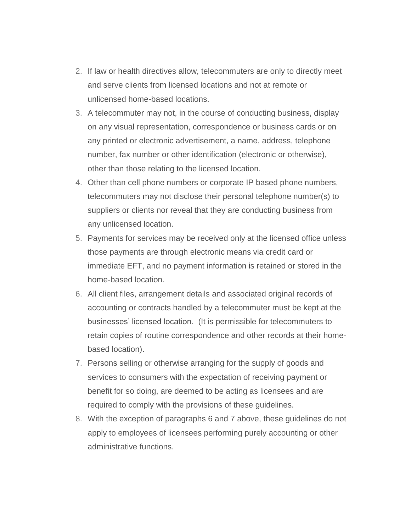- 2. If law or health directives allow, telecommuters are only to directly meet and serve clients from licensed locations and not at remote or unlicensed home-based locations.
- 3. A telecommuter may not, in the course of conducting business, display on any visual representation, correspondence or business cards or on any printed or electronic advertisement, a name, address, telephone number, fax number or other identification (electronic or otherwise), other than those relating to the licensed location.
- 4. Other than cell phone numbers or corporate IP based phone numbers, telecommuters may not disclose their personal telephone number(s) to suppliers or clients nor reveal that they are conducting business from any unlicensed location.
- 5. Payments for services may be received only at the licensed office unless those payments are through electronic means via credit card or immediate EFT, and no payment information is retained or stored in the home-based location.
- 6. All client files, arrangement details and associated original records of accounting or contracts handled by a telecommuter must be kept at the businesses' licensed location. (It is permissible for telecommuters to retain copies of routine correspondence and other records at their homebased location).
- 7. Persons selling or otherwise arranging for the supply of goods and services to consumers with the expectation of receiving payment or benefit for so doing, are deemed to be acting as licensees and are required to comply with the provisions of these guidelines.
- 8. With the exception of paragraphs 6 and 7 above, these guidelines do not apply to employees of licensees performing purely accounting or other administrative functions.